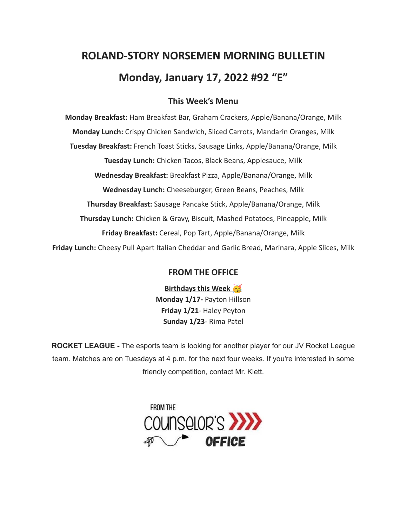# **ROLAND-STORY NORSEMEN MORNING BULLETIN Monday, January 17, 2022 #92 "E"**

# **This Week's Menu**

**Monday Breakfast:** Ham Breakfast Bar, Graham Crackers, Apple/Banana/Orange, Milk **Monday Lunch:** Crispy Chicken Sandwich, Sliced Carrots, Mandarin Oranges, Milk **Tuesday Breakfast:** French Toast Sticks, Sausage Links, Apple/Banana/Orange, Milk **Tuesday Lunch:** Chicken Tacos, Black Beans, Applesauce, Milk **Wednesday Breakfast:** Breakfast Pizza, Apple/Banana/Orange, Milk **Wednesday Lunch:** Cheeseburger, Green Beans, Peaches, Milk **Thursday Breakfast:** Sausage Pancake Stick, Apple/Banana/Orange, Milk **Thursday Lunch:** Chicken & Gravy, Biscuit, Mashed Potatoes, Pineapple, Milk **Friday Breakfast:** Cereal, Pop Tart, Apple/Banana/Orange, Milk **Friday Lunch:** Cheesy Pull Apart Italian Cheddar and Garlic Bread, Marinara, Apple Slices, Milk

# **FROM THE OFFICE**

**Birthdays this Week Monday 1/17-** Payton Hillson **Friday 1/21**- Haley Peyton **Sunday 1/23**- Rima Patel

**ROCKET LEAGUE -** The esports team is looking for another player for our JV Rocket League team. Matches are on Tuesdays at 4 p.m. for the next four weeks. If you're interested in some friendly competition, contact Mr. Klett.

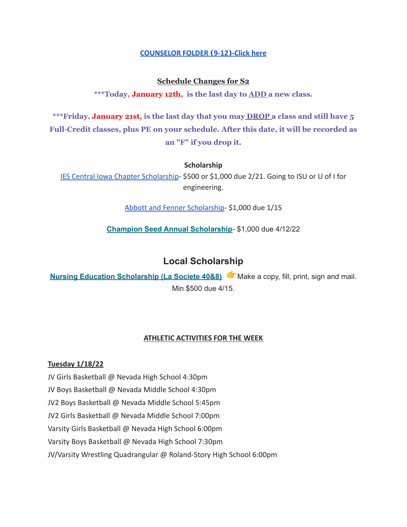#### **[COUNSELOR FOLDER](https://docs.google.com/document/d/1vmwczNPbDzXe9vFaG5LJMQ7NYDv-i4oQJHybqA65TUc/edit?usp=sharing) (9-12)-Click here**

### **Schedule Changes for S2**

**\*\*\*Today, January 12th, is the last day to ADD a new class.**

**\*\*\*Friday, January 21st, is the last day that you may DROP a class and still have 5 Full-Credit classes, plus PE on your schedule. After this date, it will be recorded as an "F" if you drop it.**

#### **Scholarship**

[IES Central Iowa Chapter Scholarship](https://drive.google.com/file/d/1TOCO584mY9ObCqCNa6kBs_Yjrn4wPSdj/view?usp=sharing)- \$500 or \$1,000 due 2/21. Going to ISU or U of I for engineering.

[Abbott and Fenner Scholarship-](https://abbottandfenner.com/scholarships.php) \$1,000 due 1/15

**Champion Seed Annual [Scholarship](https://www.plantchampion.com/about/scholarship/)**- \$1,000 due 4/12/22

# **Local Scholarship**

**Nursing Education [Scholarship](https://docs.google.com/document/d/1xp-Gg2v_kfzzaIsmco9l2tbpQI6T93L71SJzPYrDpOA/edit?usp=sharing) (La Societe 40&8)** Make a copy, fill, print, sign and mail. Min \$500 due 4/15.

#### **ATHLETIC ACTIVITIES FOR THE WEEK**

#### **Tuesday 1/18/22**

JV Girls Basketball @ Nevada High School 4:30pm JV Boys Basketball @ Nevada Middle School 4:30pm JV2 Boys Basketball @ Nevada Middle School 5:45pm JV2 Girls Basketball @ Nevada Middle School 7:00pm Varsity Girls Basketball @ Nevada High School 6:00pm Varsity Boys Basketball @ Nevada High School 7:30pm JV/Varsity Wrestling Quadrangular @ Roland-Story High School 6:00pm